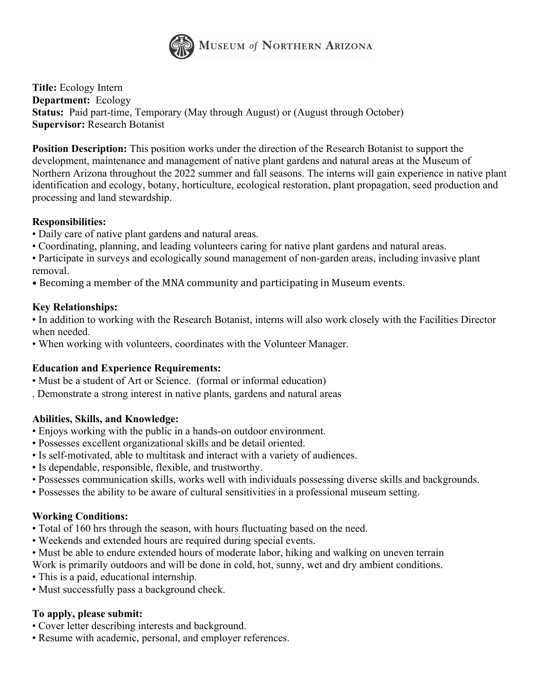

**Title:** Ecology Intern **Department:** Ecology **Status:** Paid part-time, Temporary (May through August) or (August through October) **Supervisor:** Research Botanist

**Position Description:** This position works under the direction of the Research Botanist to support the development, maintenance and management of native plant gardens and natural areas at the Museum of Northern Arizona throughout the 2022 summer and fall seasons. The interns will gain experience in native plant identification and ecology, botany, horticulture, ecological restoration, plant propagation, seed production and processing and land stewardship.

# **Responsibilities:**

- Daily care of native plant gardens and natural areas.
- Coordinating, planning, and leading volunteers caring for native plant gardens and natural areas.
- Participate in surveys and ecologically sound management of non-garden areas, including invasive plant removal.
- Becoming a member of the MNA community and participating in Museum events.

#### **Key Relationships:**

• In addition to working with the Research Botanist, interns will also work closely with the Facilities Director when needed.

• When working with volunteers, coordinates with the Volunteer Manager.

# **Education and Experience Requirements:**

- Must be a student of Art or Science. (formal or informal education)
- . Demonstrate a strong interest in native plants, gardens and natural areas

# **Abilities, Skills, and Knowledge:**

- Enjoys working with the public in a hands-on outdoor environment.
- Possesses excellent organizational skills and be detail oriented.
- Is self-motivated, able to multitask and interact with a variety of audiences.
- Is dependable, responsible, flexible, and trustworthy.
- Possesses communication skills, works well with individuals possessing diverse skills and backgrounds.
- Possesses the ability to be aware of cultural sensitivities in a professional museum setting.

#### **Working Conditions:**

- Total of 160 hrs through the season, with hours fluctuating based on the need.
- Weekends and extended hours are required during special events.
- Must be able to endure extended hours of moderate labor, hiking and walking on uneven terrain
- Work is primarily outdoors and will be done in cold, hot, sunny, wet and dry ambient conditions.
- This is a paid, educational internship.
- Must successfully pass a background check.

#### **To apply, please submit:**

- Cover letter describing interests and background.
- Resume with academic, personal, and employer references.